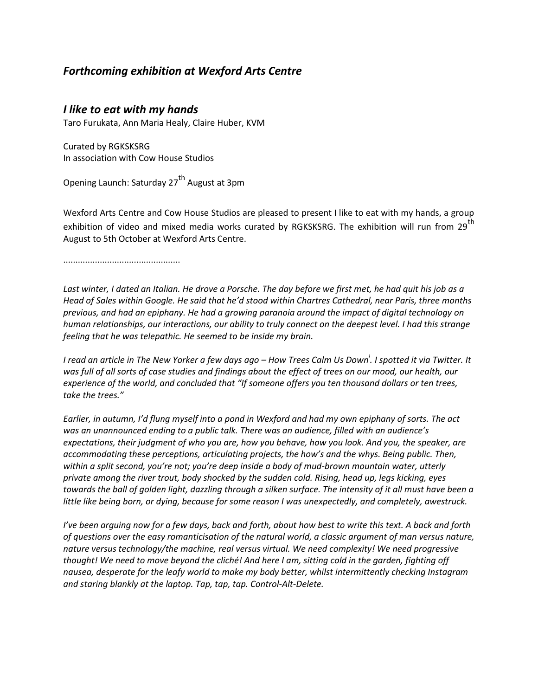## *Forthcoming exhibition at Wexford Arts Centre*

## *I like to eat with my hands*

Taro Furukata, Ann Maria Healy, Claire Huber, KVM

Curated by RGKSKSRG In association with Cow House Studios

Opening Launch: Saturday 27<sup>th</sup> August at 3pm

Wexford Arts Centre and Cow House Studios are pleased to present I like to eat with my hands, a group exhibition of video and mixed media works curated by RGKSKSRG. The exhibition will run from 29<sup>th</sup> August to 5th October at Wexford Arts Centre.

................................................

*Last winter, I dated an Italian. He drove a Porsche. The day before we first met, he had quit his job as a Head of Sales within Google. He said that he'd stood within Chartres Cathedral, near Paris, three months previous, and had an epiphany. He had a growing paranoia around the impact of digital technology on human relationships, our interactions, our ability to truly connect on the deepest level. I had this strange feeling that he was telepathic. He seemed to be inside my brain.*

*I read an article in The New Yorker a few days ago – How Trees Calm Us Down<sup>i</sup> . I spotted it via Twitter. It was full of all sorts of case studies and findings about the effect of trees on our mood, our health, our experience of the world, and concluded that "If someone offers you ten thousand dollars or ten trees, take the trees."*

*Earlier, in autumn, I'd flung myself into a pond in Wexford and had my own epiphany of sorts. The act was an unannounced ending to a public talk. There was an audience, filled with an audience's expectations, their judgment of who you are, how you behave, how you look. And you, the speaker, are accommodating these perceptions, articulating projects, the how's and the whys. Being public. Then, within a split second, you're not; you're deep inside a body of mud-brown mountain water, utterly private among the river trout, body shocked by the sudden cold. Rising, head up, legs kicking, eyes towards the ball of golden light, dazzling through a silken surface. The intensity of it all must have been a little like being born, or dying, because for some reason I was unexpectedly, and completely, awestruck.*

*I've been arguing now for a few days, back and forth, about how best to write this text. A back and forth of questions over the easy romanticisation of the natural world, a classic argument of man versus nature, nature versus technology/the machine, real versus virtual. We need complexity! We need progressive thought! We need to move beyond the cliché! And here I am, sitting cold in the garden, fighting off nausea, desperate for the leafy world to make my body better, whilst intermittently checking Instagram and staring blankly at the laptop. Tap, tap, tap. Control-Alt-Delete.*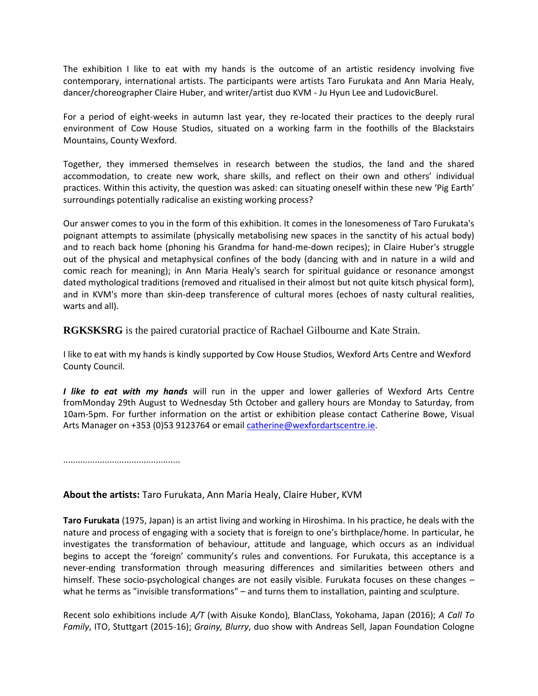The exhibition I like to eat with my hands is the outcome of an artistic residency involving five contemporary, international artists. The participants were artists Taro Furukata and Ann Maria Healy, dancer/choreographer Claire Huber, and writer/artist duo KVM - Ju Hyun Lee and LudovicBurel.

For a period of eight-weeks in autumn last year, they re-located their practices to the deeply rural environment of Cow House Studios, situated on a working farm in the foothills of the Blackstairs Mountains, County Wexford.

Together, they immersed themselves in research between the studios, the land and the shared accommodation, to create new work, share skills, and reflect on their own and others' individual practices. Within this activity, the question was asked: can situating oneself within these new 'Pig Earth' surroundings potentially radicalise an existing working process?

Our answer comes to you in the form of this exhibition. It comes in the lonesomeness of Taro Furukata's poignant attempts to assimilate (physically metabolising new spaces in the sanctity of his actual body) and to reach back home (phoning his Grandma for hand-me-down recipes); in Claire Huber's struggle out of the physical and metaphysical confines of the body (dancing with and in nature in a wild and comic reach for meaning); in Ann Maria Healy's search for spiritual guidance or resonance amongst dated mythological traditions (removed and ritualised in their almost but not quite kitsch physical form), and in KVM's more than skin-deep transference of cultural mores (echoes of nasty cultural realities, warts and all).

**RGKSKSRG** is the paired curatorial practice of Rachael Gilbourne and Kate Strain.

I like to eat with my hands is kindly supported by Cow House Studios, Wexford Arts Centre and Wexford County Council.

*I like to eat with my hands* will run in the upper and lower galleries of Wexford Arts Centre fromMonday 29th August to Wednesday 5th October and gallery hours are Monday to Saturday, from 10am-5pm. For further information on the artist or exhibition please contact Catherine Bowe, Visual Arts Manager on +353 (0)53 9123764 or emai[l catherine@wexfordartscentre.ie.](mailto:catherine@wexfordartscentre.ie)

................................................

## **About the artists:** Taro Furukata, Ann Maria Healy, Claire Huber, KVM

**Taro Furukata** (1975, Japan) is an artist living and working in Hiroshima. In his practice, he deals with the nature and process of engaging with a society that is foreign to one's birthplace/home. In particular, he investigates the transformation of behaviour, attitude and language, which occurs as an individual begins to accept the 'foreign' community's rules and conventions. For Furukata, this acceptance is a never-ending transformation through measuring differences and similarities between others and himself. These socio-psychological changes are not easily visible. Furukata focuses on these changes – what he terms as "invisible transformations" – and turns them to installation, painting and sculpture.

Recent solo exhibitions include *A/T* (with Aisuke Kondo)*,* BlanClass, Yokohama, Japan (2016); *A Call To Family*, ITO, Stuttgart (2015-16); *Grainy, Blurry*, duo show with Andreas Sell, Japan Foundation Cologne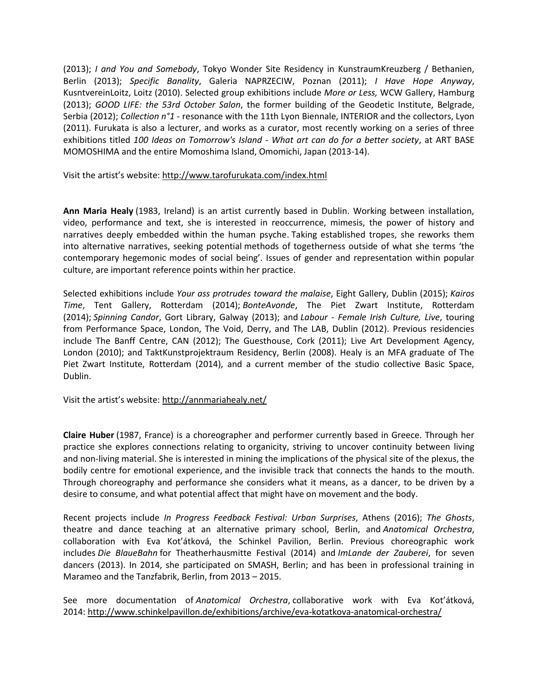(2013); *I and You and Somebody*, Tokyo Wonder Site Residency in KunstraumKreuzberg / Bethanien, Berlin (2013); *Specific Banality*, Galeria NAPRZECIW, Poznan (2011); *I Have Hope Anyway*, KusntvereinLoitz, Loitz (2010). Selected group exhibitions include *More or Less,* WCW Gallery, Hamburg (2013); *GOOD LIFE: the 53rd October Salon*, the former building of the Geodetic Institute, Belgrade, Serbia (2012); *Collection n°1* - resonance with the 11th Lyon Biennale, INTERIOR and the collectors, Lyon (2011). Furukata is also a lecturer, and works as a curator, most recently working on a series of three exhibitions titled *100 Ideas on Tomorrow's Island - What art can do for a better society*, at ART BASE MOMOSHIMA and the entire Momoshima Island, Omomichi, Japan (2013-14).

Visit the artist's website: <http://www.tarofurukata.com/index.html>

**Ann Maria Healy** (1983, Ireland) is an artist currently based in Dublin. Working between installation, video, performance and text, she is interested in reoccurrence, mimesis, the power of history and narratives deeply embedded within the human psyche. Taking established tropes, she reworks them into alternative narratives, seeking potential methods of togetherness outside of what she terms 'the contemporary hegemonic modes of social being'. Issues of gender and representation within popular culture, are important reference points within her practice.

Selected exhibitions include *Your ass protrudes toward the malaise*, Eight Gallery, Dublin (2015); *Kairos Time*, Tent Gallery, Rotterdam (2014); *BonteAvonde*, The Piet Zwart Institute, Rotterdam (2014); *Spinning Candor*, Gort Library, Galway (2013); and *Labour - Female Irish Culture, Live*, touring from Performance Space, London, The Void, Derry, and The LAB, Dublin (2012). Previous residencies include The Banff Centre, CAN (2012); The Guesthouse, Cork (2011); Live Art Development Agency, London (2010); and TaktKunstprojektraum Residency, Berlin (2008). Healy is an MFA graduate of The Piet Zwart Institute, Rotterdam (2014), and a current member of the studio collective Basic Space, Dublin.

Visit the artist's website[: http://annmariahealy.net/](http://annmariahealy.net/)

**Claire Huber** (1987, France) is a choreographer and performer currently based in Greece. Through her practice she explores connections relating to organicity, striving to uncover continuity between living and non-living material. She is interested in mining the implications of the physical site of the plexus, the bodily centre for emotional experience, and the invisible track that connects the hands to the mouth. Through choreography and performance she considers what it means, as a dancer, to be driven by a desire to consume, and what potential affect that might have on movement and the body.

Recent projects include *In Progress Feedback Festival: Urban Surprises*, Athens (2016); *The Ghosts*, theatre and dance teaching at an alternative primary school, Berlin, and *Anatomical Orchestra*, collaboration with Eva Kot'átková, the Schinkel Pavilion, Berlin. Previous choreographic work includes *Die BlaueBahn* for Theatherhausmitte Festival (2014) and *ImLande der Zauberei*, for seven dancers (2013). In 2014, she participated on SMASH, Berlin; and has been in professional training in Marameo and the Tanzfabrik, Berlin, from 2013 – 2015.

See more documentation of *Anatomical Orchestra*, collaborative work with Eva Kot'átková, 2014: <http://www.schinkelpavillon.de/exhibitions/archive/eva-kotatkova-anatomical-orchestra/>